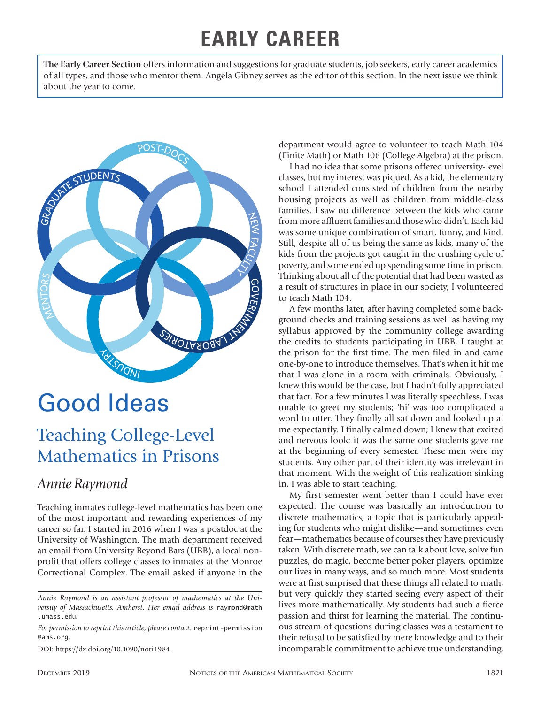# **EARLY CAREER**

**The Early Career Section** offers information and suggestions for graduate students, job seekers, early career academics of all types, and those who mentor them. Angela Gibney serves as the editor of this section. In the next issue we think about the year to come.



# Good Ideas

## Teaching College-Level Mathematics in Prisons

### *Annie Raymond*

Teaching inmates college-level mathematics has been one of the most important and rewarding experiences of my career so far. I started in 2016 when I was a postdoc at the University of Washington. The math department received an email from University Beyond Bars (UBB), a local nonprofit that offers college classes to inmates at the Monroe Correctional Complex. The email asked if anyone in the

DOI: https://dx.doi.org/10.1090/noti1984

department would agree to volunteer to teach Math 104 (Finite Math) or Math 106 (College Algebra) at the prison.

I had no idea that some prisons offered university-level classes, but my interest was piqued. As a kid, the elementary school I attended consisted of children from the nearby housing projects as well as children from middle-class families. I saw no difference between the kids who came from more affluent families and those who didn't. Each kid was some unique combination of smart, funny, and kind. Still, despite all of us being the same as kids, many of the kids from the projects got caught in the crushing cycle of poverty, and some ended up spending some time in prison. Thinking about all of the potential that had been wasted as a result of structures in place in our society, I volunteered to teach Math 104.

A few months later, after having completed some background checks and training sessions as well as having my syllabus approved by the community college awarding the credits to students participating in UBB, I taught at the prison for the first time. The men filed in and came one-by-one to introduce themselves. That's when it hit me that I was alone in a room with criminals. Obviously, I knew this would be the case, but I hadn't fully appreciated that fact. For a few minutes I was literally speechless. I was unable to greet my students; 'hi' was too complicated a word to utter. They finally all sat down and looked up at me expectantly. I finally calmed down; I knew that excited and nervous look: it was the same one students gave me at the beginning of every semester. These men were my students. Any other part of their identity was irrelevant in that moment. With the weight of this realization sinking in, I was able to start teaching.

My first semester went better than I could have ever expected. The course was basically an introduction to discrete mathematics, a topic that is particularly appealing for students who might dislike—and sometimes even fear—mathematics because of courses they have previously taken. With discrete math, we can talk about love, solve fun puzzles, do magic, become better poker players, optimize our lives in many ways, and so much more. Most students were at first surprised that these things all related to math, but very quickly they started seeing every aspect of their lives more mathematically. My students had such a fierce passion and thirst for learning the material. The continuous stream of questions during classes was a testament to their refusal to be satisfied by mere knowledge and to their incomparable commitment to achieve true understanding.

*Annie Raymond is an assistant professor of mathematics at the University of Massachusetts, Amherst. Her email address is* raymond@math .umass.edu*.*

*For permission to reprint this article, please contact:* reprint-permission @ams.org.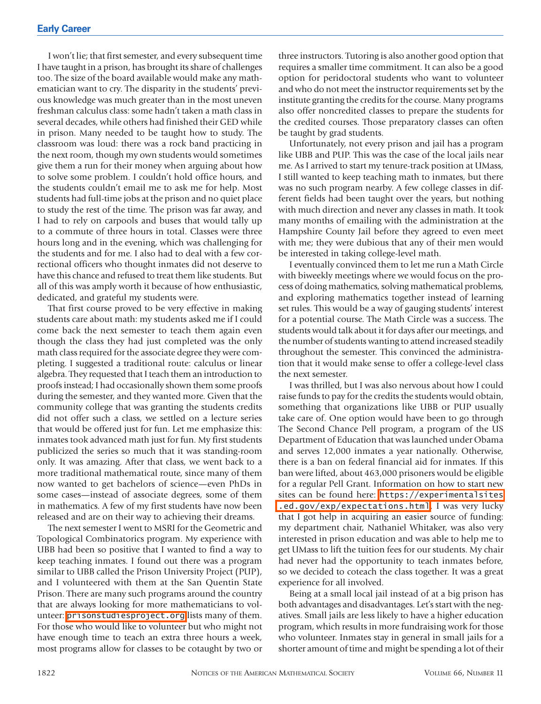I won't lie; that first semester, and every subsequent time I have taught in a prison, has brought its share of challenges too. The size of the board available would make any mathematician want to cry. The disparity in the students' previous knowledge was much greater than in the most uneven freshman calculus class: some hadn't taken a math class in several decades, while others had finished their GED while in prison. Many needed to be taught how to study. The classroom was loud: there was a rock band practicing in the next room, though my own students would sometimes give them a run for their money when arguing about how to solve some problem. I couldn't hold office hours, and the students couldn't email me to ask me for help. Most students had full-time jobs at the prison and no quiet place to study the rest of the time. The prison was far away, and I had to rely on carpools and buses that would tally up to a commute of three hours in total. Classes were three hours long and in the evening, which was challenging for the students and for me. I also had to deal with a few correctional officers who thought inmates did not deserve to have this chance and refused to treat them like students. But all of this was amply worth it because of how enthusiastic, dedicated, and grateful my students were.

That first course proved to be very effective in making students care about math: my students asked me if I could come back the next semester to teach them again even though the class they had just completed was the only math class required for the associate degree they were completing. I suggested a traditional route: calculus or linear algebra. They requested that I teach them an introduction to proofs instead; I had occasionally shown them some proofs during the semester, and they wanted more. Given that the community college that was granting the students credits did not offer such a class, we settled on a lecture series that would be offered just for fun. Let me emphasize this: inmates took advanced math just for fun. My first students publicized the series so much that it was standing-room only. It was amazing. After that class, we went back to a more traditional mathematical route, since many of them now wanted to get bachelors of science—even PhDs in some cases—instead of associate degrees, some of them in mathematics. A few of my first students have now been released and are on their way to achieving their dreams.

The next semester I went to MSRI for the Geometric and Topological Combinatorics program. My experience with UBB had been so positive that I wanted to find a way to keep teaching inmates. I found out there was a program similar to UBB called the Prison University Project (PUP), and I volunteered with them at the San Quentin State Prison. There are many such programs around the country that are always looking for more mathematicians to volunteer: [prisonstudiesproject.org](http://prisonstudiesproject.org) lists many of them. For those who would like to volunteer but who might not have enough time to teach an extra three hours a week, most programs allow for classes to be cotaught by two or

three instructors. Tutoring is also another good option that requires a smaller time commitment. It can also be a good option for peridoctoral students who want to volunteer and who do not meet the instructor requirements set by the institute granting the credits for the course. Many programs also offer noncredited classes to prepare the students for the credited courses. Those preparatory classes can often be taught by grad students.

Unfortunately, not every prison and jail has a program like UBB and PUP. This was the case of the local jails near me. As I arrived to start my tenure-track position at UMass, I still wanted to keep teaching math to inmates, but there was no such program nearby. A few college classes in different fields had been taught over the years, but nothing with much direction and never any classes in math. It took many months of emailing with the administration at the Hampshire County Jail before they agreed to even meet with me; they were dubious that any of their men would be interested in taking college-level math.

I eventually convinced them to let me run a Math Circle with biweekly meetings where we would focus on the process of doing mathematics, solving mathematical problems, and exploring mathematics together instead of learning set rules. This would be a way of gauging students' interest for a potential course. The Math Circle was a success. The students would talk about it for days after our meetings, and the number of students wanting to attend increased steadily throughout the semester. This convinced the administration that it would make sense to offer a college-level class the next semester.

I was thrilled, but I was also nervous about how I could raise funds to pay for the credits the students would obtain, something that organizations like UBB or PUP usually take care of. One option would have been to go through The Second Chance Pell program, a program of the US Department of Education that was launched under Obama and serves 12,000 inmates a year nationally. Otherwise, there is a ban on federal financial aid for inmates. If this ban were lifted, about 463,000 prisoners would be eligible for a regular Pell Grant. Information on how to start new sites can be found here: [https://experimentalsites](https://experimentalsites.ed.gov/exp/expectations.html) [.ed.gov/exp/expectations.html](https://experimentalsites.ed.gov/exp/expectations.html). I was very lucky that I got help in acquiring an easier source of funding: my department chair, Nathaniel Whitaker, was also very interested in prison education and was able to help me to get UMass to lift the tuition fees for our students. My chair had never had the opportunity to teach inmates before, so we decided to coteach the class together. It was a great experience for all involved.

Being at a small local jail instead of at a big prison has both advantages and disadvantages. Let's start with the negatives. Small jails are less likely to have a higher education program, which results in more fundraising work for those who volunteer. Inmates stay in general in small jails for a shorter amount of time and might be spending a lot of their